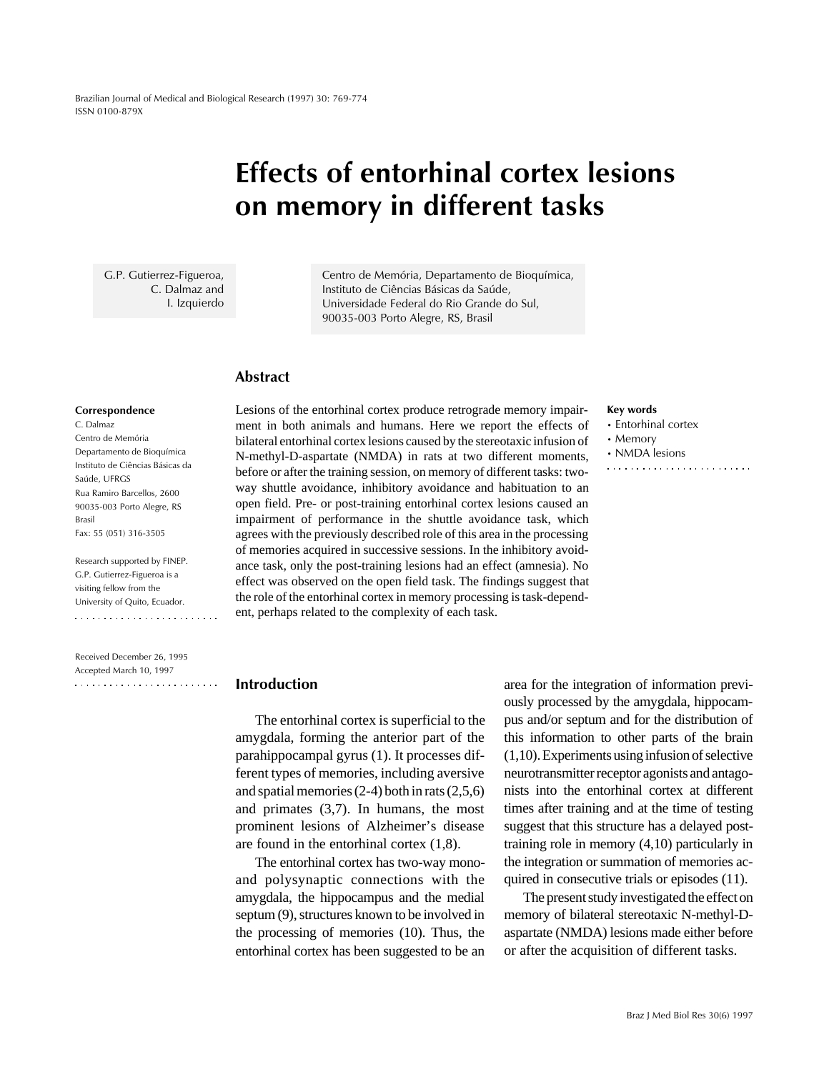# **Effects of entorhinal cortex lesions on memory in different tasks**

G.P. Gutierrez-Figueroa, C. Dalmaz and I. Izquierdo

Centro de Memória, Departamento de Bioquímica, Instituto de Ciências Básicas da Saúde, Universidade Federal do Rio Grande do Sul, 90035-003 Porto Alegre, RS, Brasil

## **Abstract**

#### **Correspondence**

C. Dalmaz Centro de Memória Departamento de Bioquímica Instituto de Ciências Básicas da Saúde, UFRGS Rua Ramiro Barcellos, 2600 90035-003 Porto Alegre, RS Brasil Fax: 55 (051) 316-3505

Research supported by FINEP. G.P. Gutierrez-Figueroa is a visiting fellow from the University of Quito, Ecuador. 

Received December 26, 1995 Accepted March 10, 1997

Lesions of the entorhinal cortex produce retrograde memory impairment in both animals and humans. Here we report the effects of bilateral entorhinal cortex lesions caused by the stereotaxic infusion of N-methyl-D-aspartate (NMDA) in rats at two different moments, before or after the training session, on memory of different tasks: twoway shuttle avoidance, inhibitory avoidance and habituation to an open field. Pre- or post-training entorhinal cortex lesions caused an impairment of performance in the shuttle avoidance task, which agrees with the previously described role of this area in the processing of memories acquired in successive sessions. In the inhibitory avoidance task, only the post-training lesions had an effect (amnesia). No effect was observed on the open field task. The findings suggest that the role of the entorhinal cortex in memory processing is task-dependent, perhaps related to the complexity of each task.

#### **Key words**

- Entorhinal cortex
- Memory
- NMDA lesions
- 

# **Introduction**

The entorhinal cortex is superficial to the amygdala, forming the anterior part of the parahippocampal gyrus (1). It processes different types of memories, including aversive and spatial memories (2-4) both in rats (2,5,6) and primates (3,7). In humans, the most prominent lesions of Alzheimer's disease are found in the entorhinal cortex (1,8).

The entorhinal cortex has two-way monoand polysynaptic connections with the amygdala, the hippocampus and the medial septum (9), structures known to be involved in the processing of memories (10). Thus, the entorhinal cortex has been suggested to be an

area for the integration of information previously processed by the amygdala, hippocampus and/or septum and for the distribution of this information to other parts of the brain (1,10). Experiments using infusion of selective neurotransmitter receptor agonists and antagonists into the entorhinal cortex at different times after training and at the time of testing suggest that this structure has a delayed posttraining role in memory (4,10) particularly in the integration or summation of memories acquired in consecutive trials or episodes (11).

The present study investigated the effect on memory of bilateral stereotaxic N-methyl-Daspartate (NMDA) lesions made either before or after the acquisition of different tasks.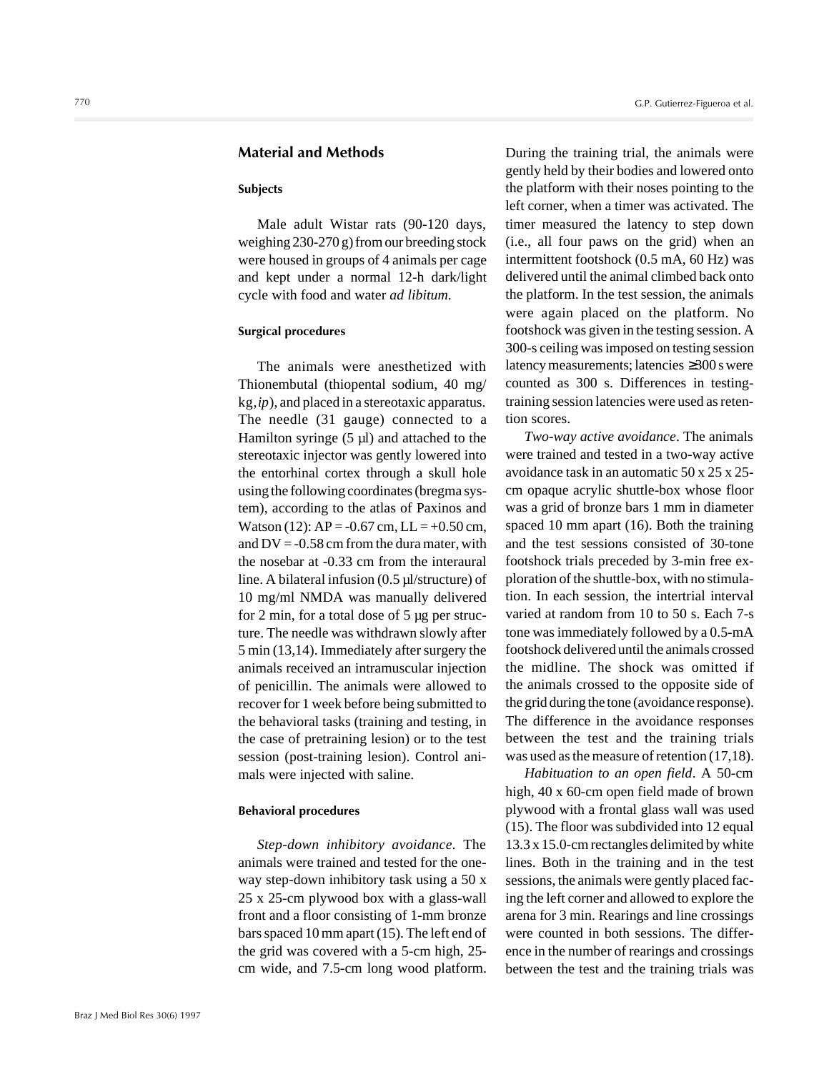# **Material and Methods**

### **Subjects**

Male adult Wistar rats (90-120 days, weighing 230-270 g) from our breeding stock were housed in groups of 4 animals per cage and kept under a normal 12-h dark/light cycle with food and water *ad libitum*.

#### **Surgical procedures**

The animals were anesthetized with Thionembutal (thiopental sodium, 40 mg/ kg, *ip*), and placed in a stereotaxic apparatus. The needle (31 gauge) connected to a Hamilton syringe  $(5 \mu l)$  and attached to the stereotaxic injector was gently lowered into the entorhinal cortex through a skull hole using the following coordinates (bregma system), according to the atlas of Paxinos and Watson (12):  $AP = -0.67$  cm,  $LL = +0.50$  cm, and  $DV = -0.58$  cm from the dura mater, with the nosebar at -0.33 cm from the interaural line. A bilateral infusion (0.5 µl/structure) of 10 mg/ml NMDA was manually delivered for 2 min, for a total dose of 5 µg per structure. The needle was withdrawn slowly after 5 min (13,14). Immediately after surgery the animals received an intramuscular injection of penicillin. The animals were allowed to recover for 1 week before being submitted to the behavioral tasks (training and testing, in the case of pretraining lesion) or to the test session (post-training lesion). Control animals were injected with saline.

## **Behavioral procedures**

*Step-down inhibitory avoidance*. The animals were trained and tested for the oneway step-down inhibitory task using a 50 x 25 x 25-cm plywood box with a glass-wall front and a floor consisting of 1-mm bronze bars spaced 10 mm apart (15). The left end of the grid was covered with a 5-cm high, 25 cm wide, and 7.5-cm long wood platform. During the training trial, the animals were gently held by their bodies and lowered onto the platform with their noses pointing to the left corner, when a timer was activated. The timer measured the latency to step down (i.e., all four paws on the grid) when an intermittent footshock (0.5 mA, 60 Hz) was delivered until the animal climbed back onto the platform. In the test session, the animals were again placed on the platform. No footshock was given in the testing session. A 300-s ceiling was imposed on testing session latency measurements; latencies ≥300 s were counted as 300 s. Differences in testingtraining session latencies were used as retention scores.

*Two-way active avoidance*. The animals were trained and tested in a two-way active avoidance task in an automatic 50 x 25 x 25 cm opaque acrylic shuttle-box whose floor was a grid of bronze bars 1 mm in diameter spaced 10 mm apart (16). Both the training and the test sessions consisted of 30-tone footshock trials preceded by 3-min free exploration of the shuttle-box, with no stimulation. In each session, the intertrial interval varied at random from 10 to 50 s. Each 7-s tone was immediately followed by a 0.5-mA footshock delivered until the animals crossed the midline. The shock was omitted if the animals crossed to the opposite side of the grid during the tone (avoidance response). The difference in the avoidance responses between the test and the training trials was used as the measure of retention (17,18).

*Habituation to an open field*. A 50-cm high, 40 x 60-cm open field made of brown plywood with a frontal glass wall was used (15). The floor was subdivided into 12 equal 13.3 x 15.0-cm rectangles delimited by white lines. Both in the training and in the test sessions, the animals were gently placed facing the left corner and allowed to explore the arena for 3 min. Rearings and line crossings were counted in both sessions. The difference in the number of rearings and crossings between the test and the training trials was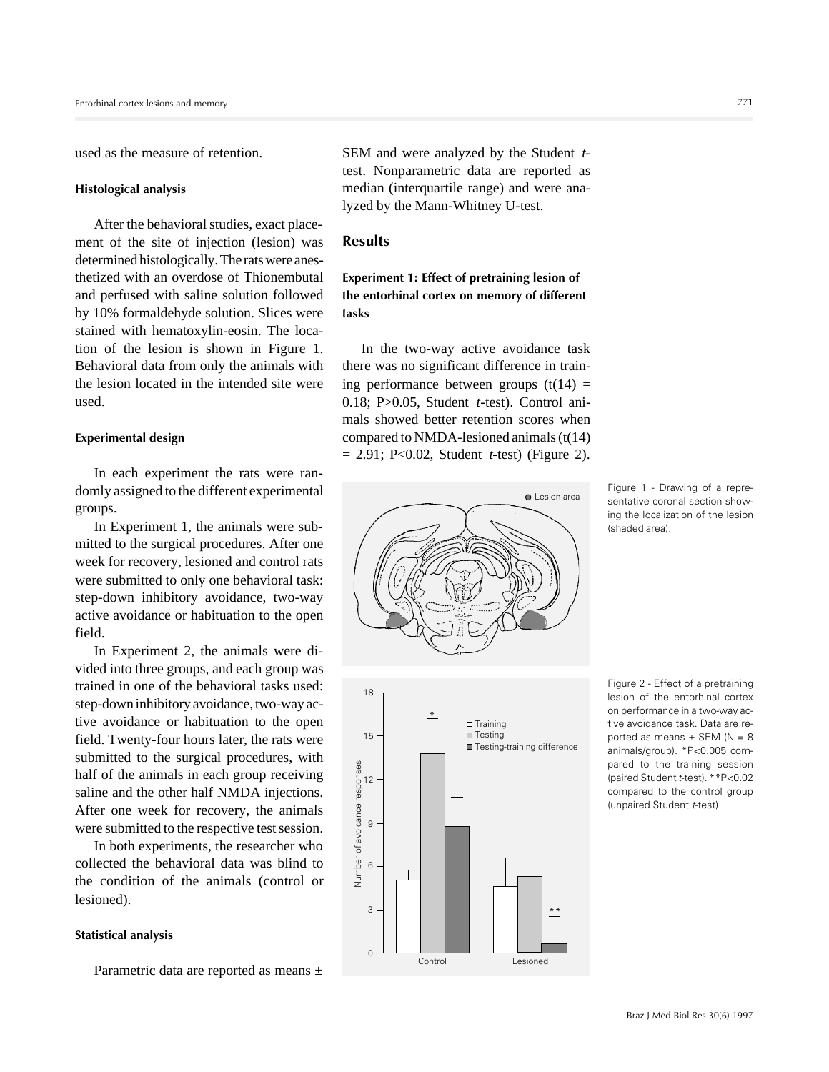used as the measure of retention.

#### **Histological analysis**

After the behavioral studies, exact placement of the site of injection (lesion) was determined histologically. The rats were anesthetized with an overdose of Thionembutal and perfused with saline solution followed by 10% formaldehyde solution. Slices were stained with hematoxylin-eosin. The location of the lesion is shown in Figure 1. Behavioral data from only the animals with the lesion located in the intended site were used.

## **Experimental design**

In each experiment the rats were randomly assigned to the different experimental groups.

In Experiment 1, the animals were submitted to the surgical procedures. After one week for recovery, lesioned and control rats were submitted to only one behavioral task: step-down inhibitory avoidance, two-way active avoidance or habituation to the open field.

In Experiment 2, the animals were divided into three groups, and each group was trained in one of the behavioral tasks used: step-down inhibitory avoidance, two-way active avoidance or habituation to the open field. Twenty-four hours later, the rats were submitted to the surgical procedures, with half of the animals in each group receiving saline and the other half NMDA injections. After one week for recovery, the animals were submitted to the respective test session.

In both experiments, the researcher who collected the behavioral data was blind to the condition of the animals (control or lesioned).

#### **Statistical analysis**

Parametric data are reported as means  $\pm$ 

SEM and were analyzed by the Student *t*test. Nonparametric data are reported as median (interquartile range) and were analyzed by the Mann-Whitney U-test.

## **Results**

# **Experiment 1: Effect of pretraining lesion of the entorhinal cortex on memory of different tasks**

In the two-way active avoidance task there was no significant difference in training performance between groups  $(t(14) =$ 0.18; P>0.05, Student *t*-test). Control animals showed better retention scores when compared to NMDA-lesioned animals (t(14) = 2.91; P<0.02, Student *t*-test) (Figure 2).







Figure 2 - Effect of a pretraining lesion of the entorhinal cortex on performance in a two-way active avoidance task. Data are reported as means  $\pm$  SEM (N = 8 animals/group). \*P<0.005 compared to the training session (paired Student *t*-test). \*\*P<0.02 compared to the control group (unpaired Student *t*-test).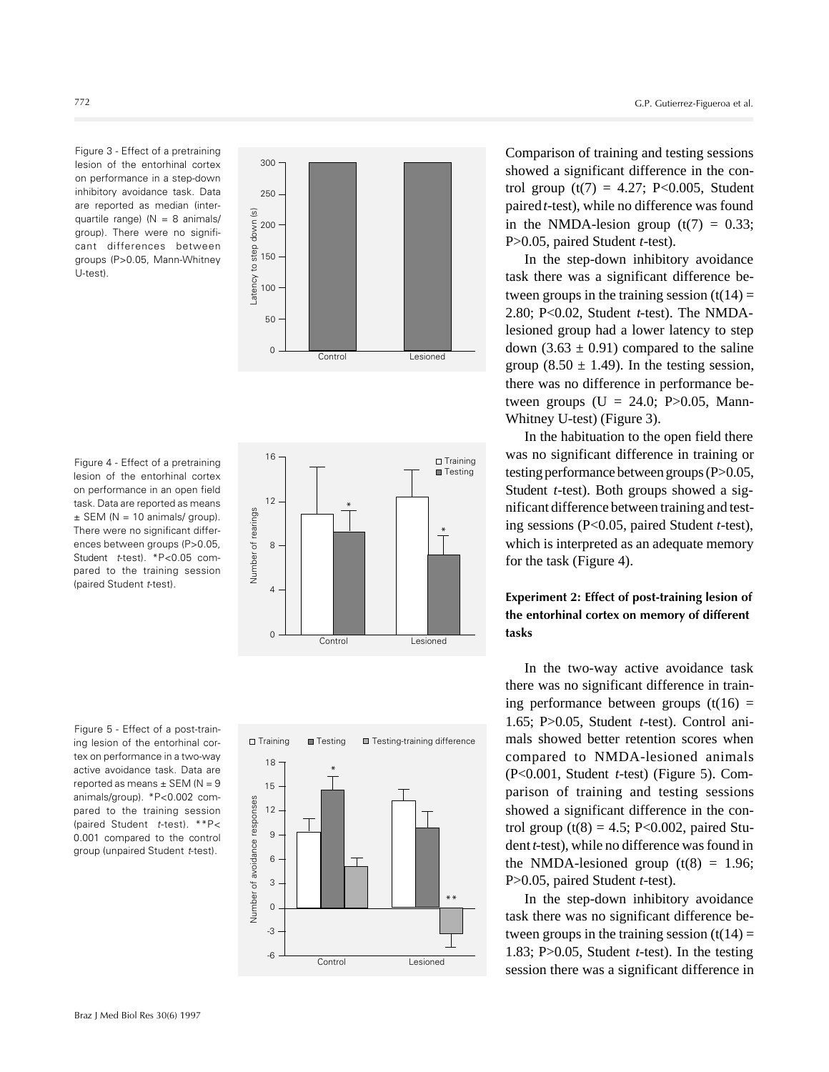Figure 3 - Effect of a pretraining lesion of the entorhinal cortex on performance in a step-down inhibitory avoidance task. Data are reported as median (interquartile range) ( $N = 8$  animals/ group). There were no significant differences between groups (P>0.05, Mann-Whitney U-test).

Figure 4 - Effect of a pretraining lesion of the entorhinal cortex on performance in an open field task. Data are reported as means  $\pm$  SEM (N = 10 animals/ group). There were no significant differences between groups (P>0.05, Student *t*-test). \*P<0.05 compared to the training session (paired Student *t*-test).

Figure 5 - Effect of a post-training lesion of the entorhinal cortex on performance in a two-way active avoidance task. Data are reported as means  $\pm$  SEM (N = 9 animals/group). \*P<0.002 compared to the training session (paired Student *t*-test). \*\*P< 0.001 compared to the control group (unpaired Student *t*-test).







Comparison of training and testing sessions showed a significant difference in the control group  $(t(7) = 4.27; P < 0.005$ , Student paired *t*-test), while no difference was found in the NMDA-lesion group  $(t(7) = 0.33)$ ; P>0.05, paired Student *t*-test).

In the step-down inhibitory avoidance task there was a significant difference between groups in the training session  $(t(14) =$ 2.80; P<0.02, Student *t*-test). The NMDAlesioned group had a lower latency to step down  $(3.63 \pm 0.91)$  compared to the saline group (8.50  $\pm$  1.49). In the testing session, there was no difference in performance between groups  $(U = 24.0; P > 0.05, Mann-$ Whitney U-test) (Figure 3).

In the habituation to the open field there was no significant difference in training or testing performance between groups (P>0.05, Student *t*-test). Both groups showed a significant difference between training and testing sessions (P<0.05, paired Student *t*-test), which is interpreted as an adequate memory for the task (Figure 4).

# **Experiment 2: Effect of post-training lesion of the entorhinal cortex on memory of different tasks**

In the two-way active avoidance task there was no significant difference in training performance between groups  $(t(16) =$ 1.65; P>0.05, Student *t*-test). Control animals showed better retention scores when compared to NMDA-lesioned animals (P<0.001, Student *t*-test) (Figure 5). Comparison of training and testing sessions showed a significant difference in the control group  $(t(8) = 4.5; P<0.002$ , paired Student *t*-test), while no difference was found in the NMDA-lesioned group  $(t(8) = 1.96)$ ; P>0.05, paired Student *t*-test).

In the step-down inhibitory avoidance task there was no significant difference between groups in the training session  $(t(14) =$ 1.83; P>0.05, Student *t*-test). In the testing session there was a significant difference in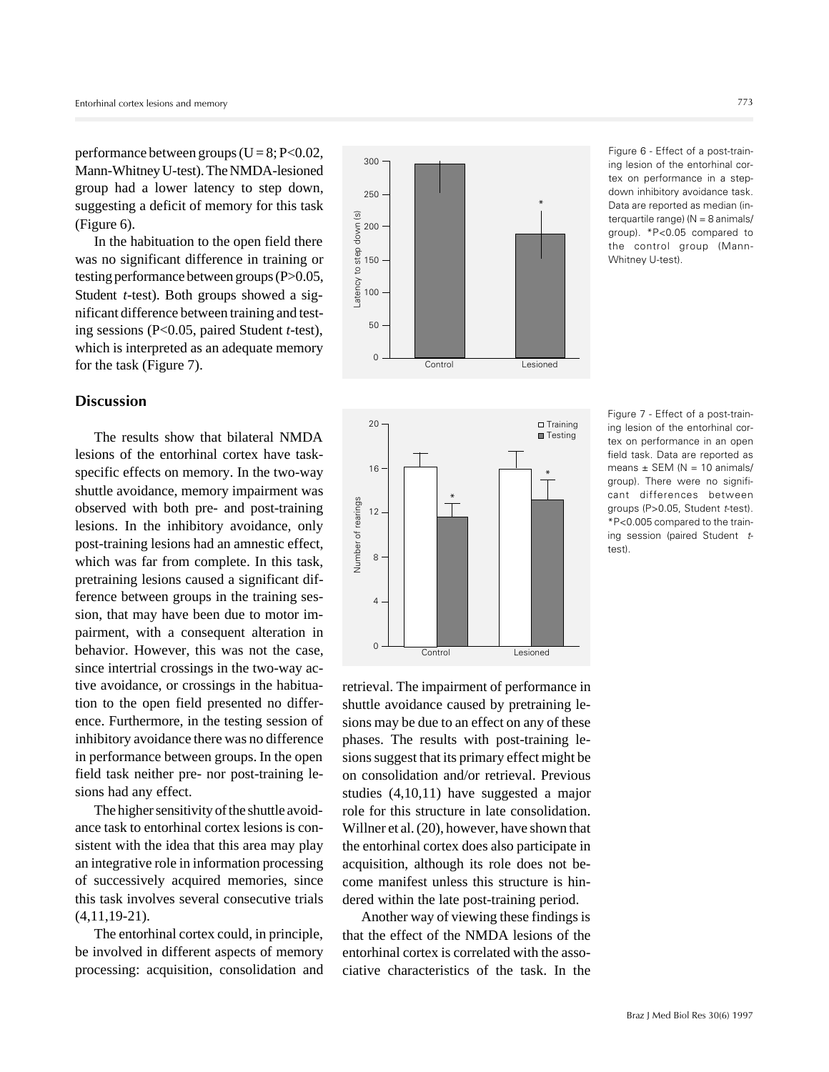performance between groups ( $U = 8$ ; P<0.02, Mann-Whitney U-test). The NMDA-lesioned group had a lower latency to step down, suggesting a deficit of memory for this task (Figure 6).

In the habituation to the open field there was no significant difference in training or testing performance between groups (P>0.05, Student *t*-test). Both groups showed a significant difference between training and testing sessions (P<0.05, paired Student *t*-test), which is interpreted as an adequate memory for the task (Figure 7).

# **Discussion**

The results show that bilateral NMDA lesions of the entorhinal cortex have taskspecific effects on memory. In the two-way shuttle avoidance, memory impairment was observed with both pre- and post-training lesions. In the inhibitory avoidance, only post-training lesions had an amnestic effect, which was far from complete. In this task, pretraining lesions caused a significant difference between groups in the training session, that may have been due to motor impairment, with a consequent alteration in behavior. However, this was not the case, since intertrial crossings in the two-way active avoidance, or crossings in the habituation to the open field presented no difference. Furthermore, in the testing session of inhibitory avoidance there was no difference in performance between groups. In the open field task neither pre- nor post-training lesions had any effect.

The higher sensitivity of the shuttle avoidance task to entorhinal cortex lesions is consistent with the idea that this area may play an integrative role in information processing of successively acquired memories, since this task involves several consecutive trials (4,11,19-21).

The entorhinal cortex could, in principle, be involved in different aspects of memory processing: acquisition, consolidation and





retrieval. The impairment of performance in shuttle avoidance caused by pretraining lesions may be due to an effect on any of these phases. The results with post-training lesions suggest that its primary effect might be on consolidation and/or retrieval. Previous studies (4,10,11) have suggested a major role for this structure in late consolidation. Willner et al. (20), however, have shown that the entorhinal cortex does also participate in acquisition, although its role does not become manifest unless this structure is hindered within the late post-training period.

Another way of viewing these findings is that the effect of the NMDA lesions of the entorhinal cortex is correlated with the asso-

Figure 6 - Effect of a post-training lesion of the entorhinal cortex on performance in a stepdown inhibitory avoidance task. Data are reported as median (interquartile range) ( $N = 8$  animals/ group). \*P<0.05 compared to the control group (Mann-Whitney U-test).

Figure 7 - Effect of a post-training lesion of the entorhinal cortex on performance in an open field task. Data are reported as means  $\pm$  SEM (N = 10 animals/ group). There were no significant differences between groups (P>0.05, Student *t*-test). \*P<0.005 compared to the training session (paired Student *t*test).